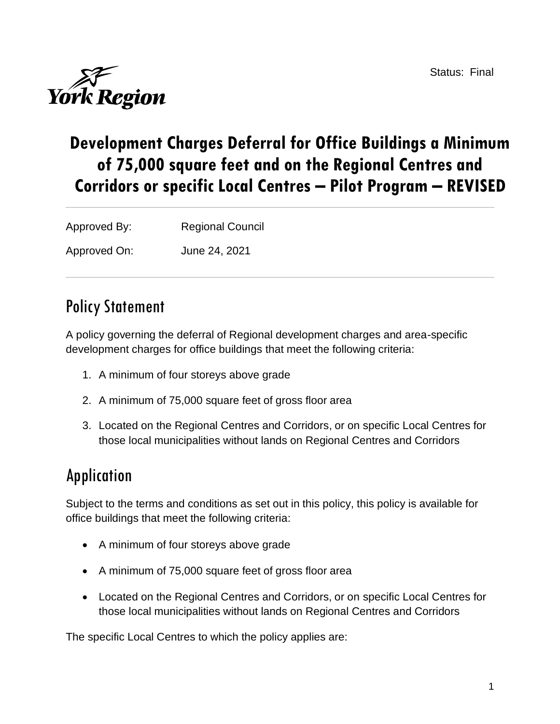Status: Final



# **Development Charges Deferral for Office Buildings a Minimum of 75,000 square feet and on the Regional Centres and Corridors or specific Local Centres – Pilot Program – REVISED**

Approved By: Regional Council

Approved On: June 24, 2021

# Policy Statement

A policy governing the deferral of Regional development charges and area-specific development charges for office buildings that meet the following criteria:

- 1. A minimum of four storeys above grade
- 2. A minimum of 75,000 square feet of gross floor area
- 3. Located on the Regional Centres and Corridors, or on specific Local Centres for those local municipalities without lands on Regional Centres and Corridors

# Application

Subject to the terms and conditions as set out in this policy, this policy is available for office buildings that meet the following criteria:

- A minimum of four storeys above grade
- A minimum of 75,000 square feet of gross floor area
- Located on the Regional Centres and Corridors, or on specific Local Centres for those local municipalities without lands on Regional Centres and Corridors

The specific Local Centres to which the policy applies are: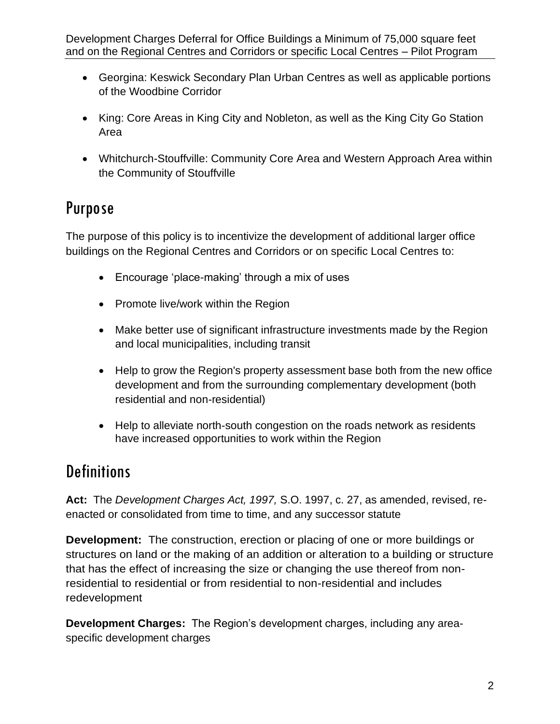- Georgina: Keswick Secondary Plan Urban Centres as well as applicable portions of the Woodbine Corridor
- King: Core Areas in King City and Nobleton, as well as the King City Go Station Area
- Whitchurch-Stouffville: Community Core Area and Western Approach Area within the Community of Stouffville

# Purpose

The purpose of this policy is to incentivize the development of additional larger office buildings on the Regional Centres and Corridors or on specific Local Centres to:

- Encourage 'place-making' through a mix of uses
- Promote live/work within the Region
- Make better use of significant infrastructure investments made by the Region and local municipalities, including transit
- Help to grow the Region's property assessment base both from the new office development and from the surrounding complementary development (both residential and non-residential)
- Help to alleviate north-south congestion on the roads network as residents have increased opportunities to work within the Region

# **Definitions**

**Act:** The *Development Charges Act, 1997,* S.O. 1997, c. 27, as amended, revised, reenacted or consolidated from time to time, and any successor statute

**Development:** The construction, erection or placing of one or more buildings or structures on land or the making of an addition or alteration to a building or structure that has the effect of increasing the size or changing the use thereof from nonresidential to residential or from residential to non-residential and includes redevelopment

**Development Charges:** The Region's development charges, including any areaspecific development charges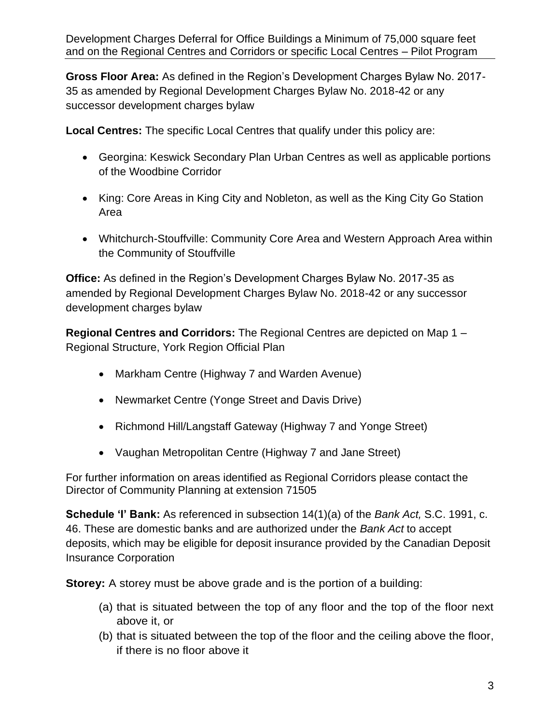**Gross Floor Area:** As defined in the Region's Development Charges Bylaw No. 2017- 35 as amended by Regional Development Charges Bylaw No. 2018-42 or any successor development charges bylaw

**Local Centres:** The specific Local Centres that qualify under this policy are:

- Georgina: Keswick Secondary Plan Urban Centres as well as applicable portions of the Woodbine Corridor
- King: Core Areas in King City and Nobleton, as well as the King City Go Station Area
- Whitchurch-Stouffville: Community Core Area and Western Approach Area within the Community of Stouffville

**Office:** As defined in the Region's Development Charges Bylaw No. 2017-35 as amended by Regional Development Charges Bylaw No. 2018-42 or any successor development charges bylaw

**Regional Centres and Corridors:** The Regional Centres are depicted on Map 1 – Regional Structure, York Region Official Plan

- Markham Centre (Highway 7 and Warden Avenue)
- Newmarket Centre (Yonge Street and Davis Drive)
- Richmond Hill/Langstaff Gateway (Highway 7 and Yonge Street)
- Vaughan Metropolitan Centre (Highway 7 and Jane Street)

For further information on areas identified as Regional Corridors please contact the Director of Community Planning at extension 71505

**Schedule 'I' Bank:** As referenced in subsection 14(1)(a) of the *Bank Act,* S.C. 1991, c. 46. These are domestic banks and are authorized under the *Bank Act* to accept deposits, which may be eligible for deposit insurance provided by the Canadian Deposit Insurance Corporation

**Storey:** A storey must be above grade and is the portion of a building:

- (a) that is situated between the top of any floor and the top of the floor next above it, or
- (b) that is situated between the top of the floor and the ceiling above the floor, if there is no floor above it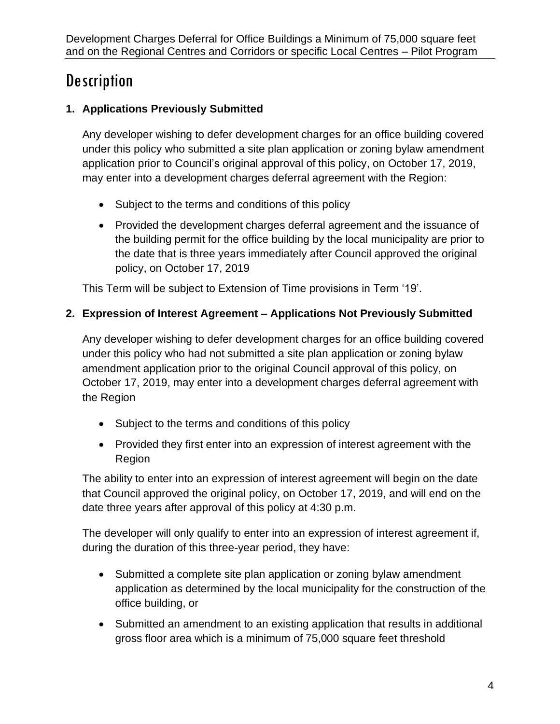# **Description**

# **1. Applications Previously Submitted**

Any developer wishing to defer development charges for an office building covered under this policy who submitted a site plan application or zoning bylaw amendment application prior to Council's original approval of this policy, on October 17, 2019, may enter into a development charges deferral agreement with the Region:

- Subject to the terms and conditions of this policy
- Provided the development charges deferral agreement and the issuance of the building permit for the office building by the local municipality are prior to the date that is three years immediately after Council approved the original policy, on October 17, 2019

This Term will be subject to Extension of Time provisions in Term '19'.

# **2. Expression of Interest Agreement – Applications Not Previously Submitted**

Any developer wishing to defer development charges for an office building covered under this policy who had not submitted a site plan application or zoning bylaw amendment application prior to the original Council approval of this policy, on October 17, 2019, may enter into a development charges deferral agreement with the Region

- Subject to the terms and conditions of this policy
- Provided they first enter into an expression of interest agreement with the Region

The ability to enter into an expression of interest agreement will begin on the date that Council approved the original policy, on October 17, 2019, and will end on the date three years after approval of this policy at 4:30 p.m.

The developer will only qualify to enter into an expression of interest agreement if, during the duration of this three-year period, they have:

- Submitted a complete site plan application or zoning bylaw amendment application as determined by the local municipality for the construction of the office building, or
- Submitted an amendment to an existing application that results in additional gross floor area which is a minimum of 75,000 square feet threshold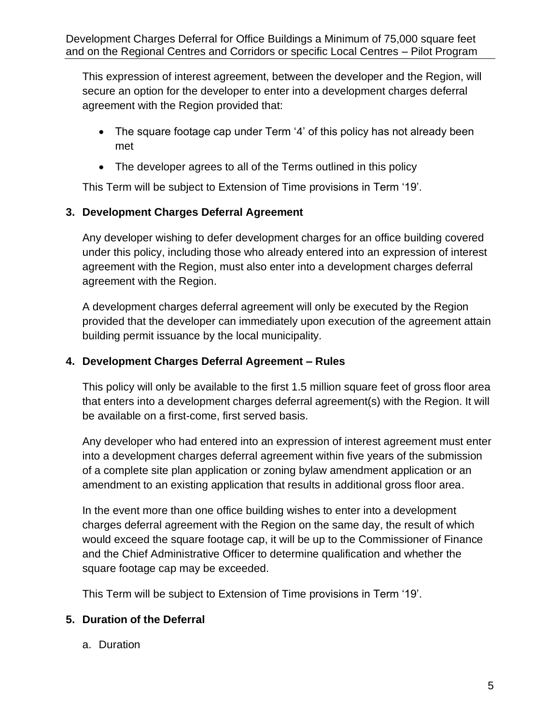This expression of interest agreement, between the developer and the Region, will secure an option for the developer to enter into a development charges deferral agreement with the Region provided that:

- The square footage cap under Term '4' of this policy has not already been met
- The developer agrees to all of the Terms outlined in this policy

This Term will be subject to Extension of Time provisions in Term '19'.

# **3. Development Charges Deferral Agreement**

Any developer wishing to defer development charges for an office building covered under this policy, including those who already entered into an expression of interest agreement with the Region, must also enter into a development charges deferral agreement with the Region.

A development charges deferral agreement will only be executed by the Region provided that the developer can immediately upon execution of the agreement attain building permit issuance by the local municipality.

### **4. Development Charges Deferral Agreement – Rules**

This policy will only be available to the first 1.5 million square feet of gross floor area that enters into a development charges deferral agreement(s) with the Region. It will be available on a first-come, first served basis.

Any developer who had entered into an expression of interest agreement must enter into a development charges deferral agreement within five years of the submission of a complete site plan application or zoning bylaw amendment application or an amendment to an existing application that results in additional gross floor area.

In the event more than one office building wishes to enter into a development charges deferral agreement with the Region on the same day, the result of which would exceed the square footage cap, it will be up to the Commissioner of Finance and the Chief Administrative Officer to determine qualification and whether the square footage cap may be exceeded.

This Term will be subject to Extension of Time provisions in Term '19'.

#### **5. Duration of the Deferral**

a. Duration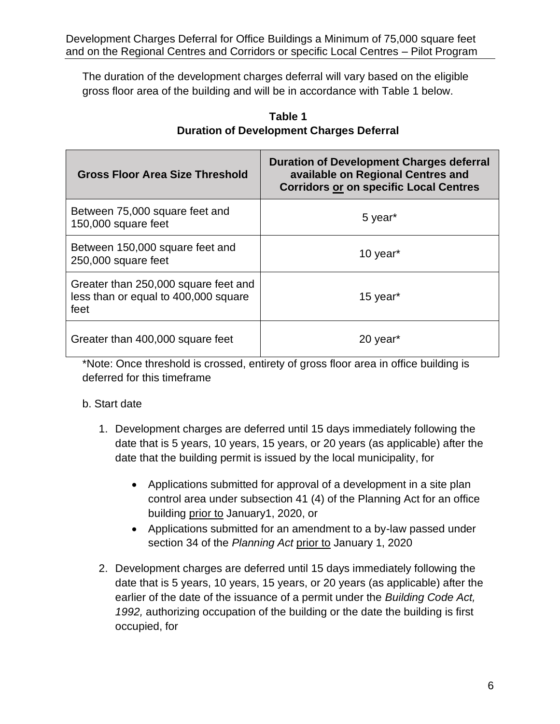The duration of the development charges deferral will vary based on the eligible gross floor area of the building and will be in accordance with Table 1 below.

| <b>Gross Floor Area Size Threshold</b>                                               | <b>Duration of Development Charges deferral</b><br>available on Regional Centres and<br><b>Corridors or on specific Local Centres</b> |
|--------------------------------------------------------------------------------------|---------------------------------------------------------------------------------------------------------------------------------------|
| Between 75,000 square feet and<br>150,000 square feet                                | 5 year <sup>*</sup>                                                                                                                   |
| Between 150,000 square feet and<br>250,000 square feet                               | 10 year <sup>*</sup>                                                                                                                  |
| Greater than 250,000 square feet and<br>less than or equal to 400,000 square<br>feet | 15 year <sup>*</sup>                                                                                                                  |
| Greater than 400,000 square feet                                                     | 20 year <sup>*</sup>                                                                                                                  |

# **Table 1 Duration of Development Charges Deferral**

\*Note: Once threshold is crossed, entirety of gross floor area in office building is deferred for this timeframe

# b. Start date

- 1. Development charges are deferred until 15 days immediately following the date that is 5 years, 10 years, 15 years, or 20 years (as applicable) after the date that the building permit is issued by the local municipality, for
	- Applications submitted for approval of a development in a site plan control area under subsection 41 (4) of the Planning Act for an office building prior to January1, 2020, or
	- Applications submitted for an amendment to a by-law passed under section 34 of the *Planning Act* prior to January 1, 2020
- 2. Development charges are deferred until 15 days immediately following the date that is 5 years, 10 years, 15 years, or 20 years (as applicable) after the earlier of the date of the issuance of a permit under the *Building Code Act, 1992,* authorizing occupation of the building or the date the building is first occupied, for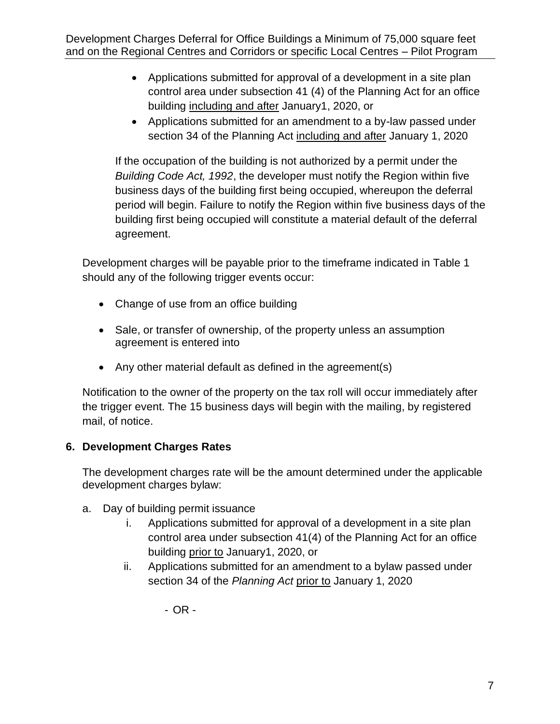- Applications submitted for approval of a development in a site plan control area under subsection 41 (4) of the Planning Act for an office building including and after January1, 2020, or
- Applications submitted for an amendment to a by-law passed under section 34 of the Planning Act including and after January 1, 2020

If the occupation of the building is not authorized by a permit under the *Building Code Act, 1992*, the developer must notify the Region within five business days of the building first being occupied, whereupon the deferral period will begin. Failure to notify the Region within five business days of the building first being occupied will constitute a material default of the deferral agreement.

Development charges will be payable prior to the timeframe indicated in Table 1 should any of the following trigger events occur:

- Change of use from an office building
- Sale, or transfer of ownership, of the property unless an assumption agreement is entered into
- Any other material default as defined in the agreement(s)

Notification to the owner of the property on the tax roll will occur immediately after the trigger event. The 15 business days will begin with the mailing, by registered mail, of notice.

#### **6. Development Charges Rates**

The development charges rate will be the amount determined under the applicable development charges bylaw:

- a. Day of building permit issuance
	- i. Applications submitted for approval of a development in a site plan control area under subsection 41(4) of the Planning Act for an office building prior to January1, 2020, or
	- ii. Applications submitted for an amendment to a bylaw passed under section 34 of the *Planning Act* prior to January 1, 2020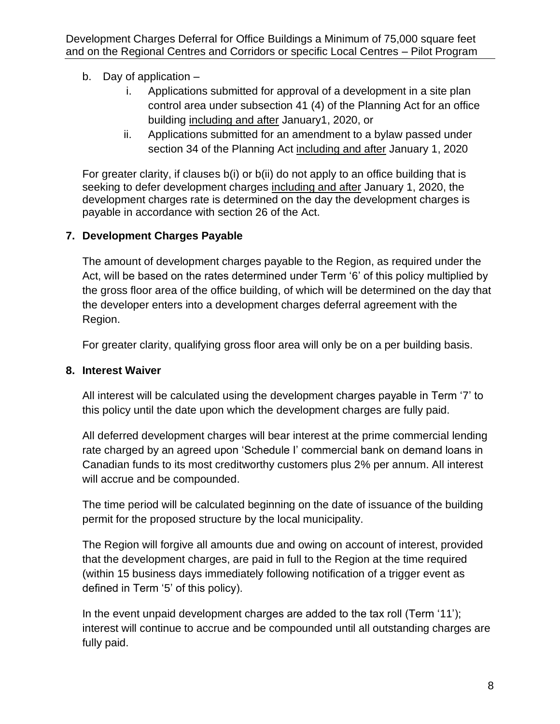# b. Day of application –

- i. Applications submitted for approval of a development in a site plan control area under subsection 41 (4) of the Planning Act for an office building including and after January1, 2020, or
- ii. Applications submitted for an amendment to a bylaw passed under section 34 of the Planning Act including and after January 1, 2020

For greater clarity, if clauses b(i) or b(ii) do not apply to an office building that is seeking to defer development charges including and after January 1, 2020, the development charges rate is determined on the day the development charges is payable in accordance with section 26 of the Act.

# **7. Development Charges Payable**

The amount of development charges payable to the Region, as required under the Act, will be based on the rates determined under Term '6' of this policy multiplied by the gross floor area of the office building, of which will be determined on the day that the developer enters into a development charges deferral agreement with the Region.

For greater clarity, qualifying gross floor area will only be on a per building basis.

# **8. Interest Waiver**

All interest will be calculated using the development charges payable in Term '7' to this policy until the date upon which the development charges are fully paid.

All deferred development charges will bear interest at the prime commercial lending rate charged by an agreed upon 'Schedule I' commercial bank on demand loans in Canadian funds to its most creditworthy customers plus 2% per annum. All interest will accrue and be compounded.

The time period will be calculated beginning on the date of issuance of the building permit for the proposed structure by the local municipality.

The Region will forgive all amounts due and owing on account of interest, provided that the development charges, are paid in full to the Region at the time required (within 15 business days immediately following notification of a trigger event as defined in Term '5' of this policy).

In the event unpaid development charges are added to the tax roll (Term '11'); interest will continue to accrue and be compounded until all outstanding charges are fully paid.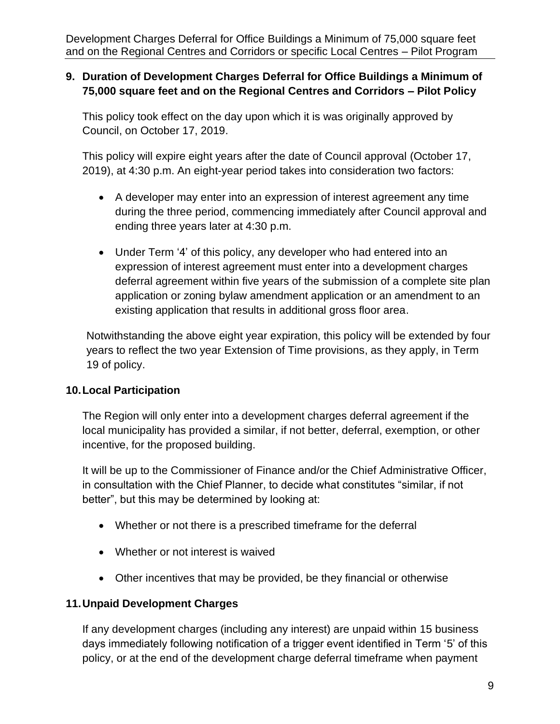### **9. Duration of Development Charges Deferral for Office Buildings a Minimum of 75,000 square feet and on the Regional Centres and Corridors – Pilot Policy**

This policy took effect on the day upon which it is was originally approved by Council, on October 17, 2019.

This policy will expire eight years after the date of Council approval (October 17, 2019), at 4:30 p.m. An eight-year period takes into consideration two factors:

- A developer may enter into an expression of interest agreement any time during the three period, commencing immediately after Council approval and ending three years later at 4:30 p.m.
- Under Term '4' of this policy, any developer who had entered into an expression of interest agreement must enter into a development charges deferral agreement within five years of the submission of a complete site plan application or zoning bylaw amendment application or an amendment to an existing application that results in additional gross floor area.

Notwithstanding the above eight year expiration, this policy will be extended by four years to reflect the two year Extension of Time provisions, as they apply, in Term 19 of policy.

# **10.Local Participation**

The Region will only enter into a development charges deferral agreement if the local municipality has provided a similar, if not better, deferral, exemption, or other incentive, for the proposed building.

It will be up to the Commissioner of Finance and/or the Chief Administrative Officer, in consultation with the Chief Planner, to decide what constitutes "similar, if not better", but this may be determined by looking at:

- Whether or not there is a prescribed timeframe for the deferral
- Whether or not interest is waived
- Other incentives that may be provided, be they financial or otherwise

# **11.Unpaid Development Charges**

If any development charges (including any interest) are unpaid within 15 business days immediately following notification of a trigger event identified in Term '5' of this policy, or at the end of the development charge deferral timeframe when payment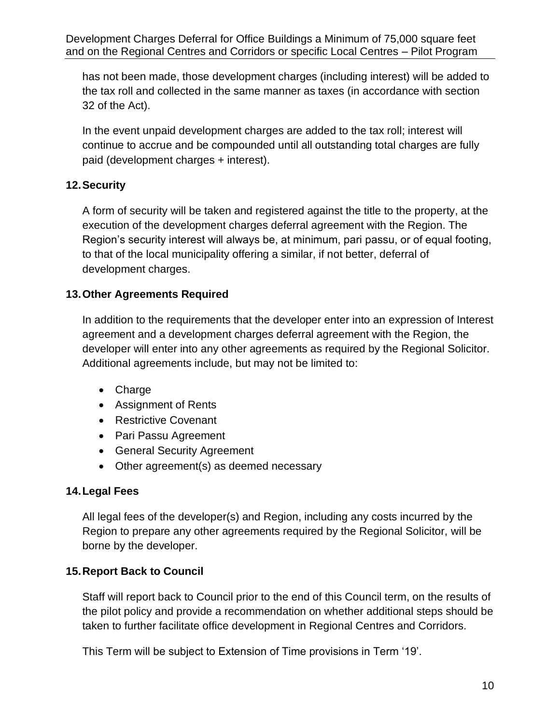has not been made, those development charges (including interest) will be added to the tax roll and collected in the same manner as taxes (in accordance with section 32 of the Act).

In the event unpaid development charges are added to the tax roll; interest will continue to accrue and be compounded until all outstanding total charges are fully paid (development charges + interest).

# **12.Security**

A form of security will be taken and registered against the title to the property, at the execution of the development charges deferral agreement with the Region. The Region's security interest will always be, at minimum, pari passu, or of equal footing, to that of the local municipality offering a similar, if not better, deferral of development charges.

### **13.Other Agreements Required**

In addition to the requirements that the developer enter into an expression of Interest agreement and a development charges deferral agreement with the Region, the developer will enter into any other agreements as required by the Regional Solicitor. Additional agreements include, but may not be limited to:

- Charge
- Assignment of Rents
- Restrictive Covenant
- Pari Passu Agreement
- General Security Agreement
- Other agreement(s) as deemed necessary

#### **14.Legal Fees**

All legal fees of the developer(s) and Region, including any costs incurred by the Region to prepare any other agreements required by the Regional Solicitor, will be borne by the developer.

#### **15.Report Back to Council**

Staff will report back to Council prior to the end of this Council term, on the results of the pilot policy and provide a recommendation on whether additional steps should be taken to further facilitate office development in Regional Centres and Corridors.

This Term will be subject to Extension of Time provisions in Term '19'.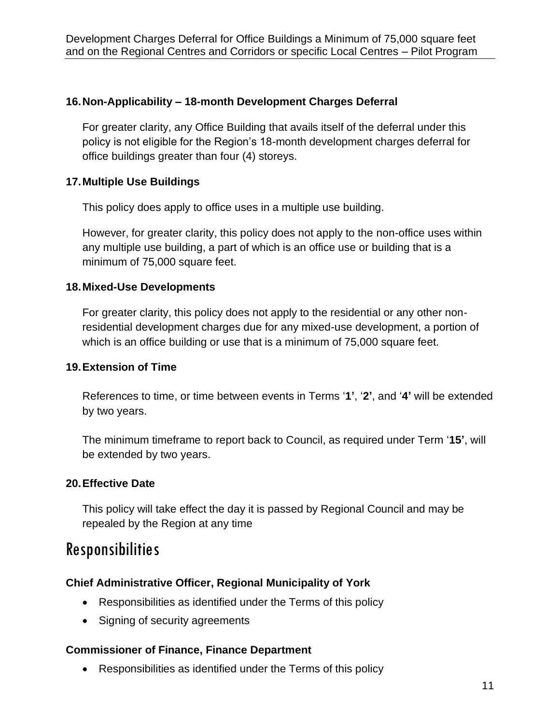### **16.Non-Applicability – 18-month Development Charges Deferral**

For greater clarity, any Office Building that avails itself of the deferral under this policy is not eligible for the Region's 18-month development charges deferral for office buildings greater than four (4) storeys.

#### **17.Multiple Use Buildings**

This policy does apply to office uses in a multiple use building.

However, for greater clarity, this policy does not apply to the non-office uses within any multiple use building, a part of which is an office use or building that is a minimum of 75,000 square feet.

#### **18.Mixed-Use Developments**

For greater clarity, this policy does not apply to the residential or any other nonresidential development charges due for any mixed-use development, a portion of which is an office building or use that is a minimum of 75,000 square feet.

#### **19.Extension of Time**

References to time, or time between events in Terms '**1'**, '**2'**, and '**4'** will be extended by two years.

The minimum timeframe to report back to Council, as required under Term '**15'**, will be extended by two years.

#### **20.Effective Date**

This policy will take effect the day it is passed by Regional Council and may be repealed by the Region at any time

# Responsibilities

#### **Chief Administrative Officer, Regional Municipality of York**

- Responsibilities as identified under the Terms of this policy
- Signing of security agreements

#### **Commissioner of Finance, Finance Department**

• Responsibilities as identified under the Terms of this policy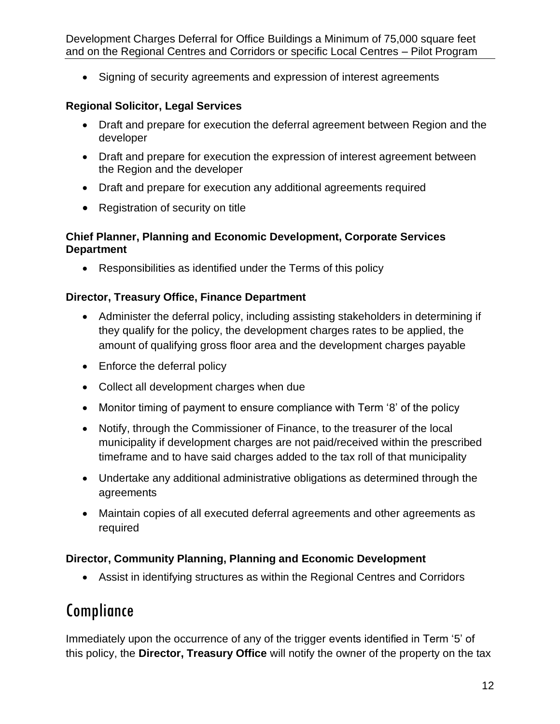• Signing of security agreements and expression of interest agreements

### **Regional Solicitor, Legal Services**

- Draft and prepare for execution the deferral agreement between Region and the developer
- Draft and prepare for execution the expression of interest agreement between the Region and the developer
- Draft and prepare for execution any additional agreements required
- Registration of security on title

#### **Chief Planner, Planning and Economic Development, Corporate Services Department**

• Responsibilities as identified under the Terms of this policy

### **Director, Treasury Office, Finance Department**

- Administer the deferral policy, including assisting stakeholders in determining if they qualify for the policy, the development charges rates to be applied, the amount of qualifying gross floor area and the development charges payable
- Enforce the deferral policy
- Collect all development charges when due
- Monitor timing of payment to ensure compliance with Term '8' of the policy
- Notify, through the Commissioner of Finance, to the treasurer of the local municipality if development charges are not paid/received within the prescribed timeframe and to have said charges added to the tax roll of that municipality
- Undertake any additional administrative obligations as determined through the agreements
- Maintain copies of all executed deferral agreements and other agreements as required

# **Director, Community Planning, Planning and Economic Development**

• Assist in identifying structures as within the Regional Centres and Corridors

# Compliance

Immediately upon the occurrence of any of the trigger events identified in Term '5' of this policy, the **Director, Treasury Office** will notify the owner of the property on the tax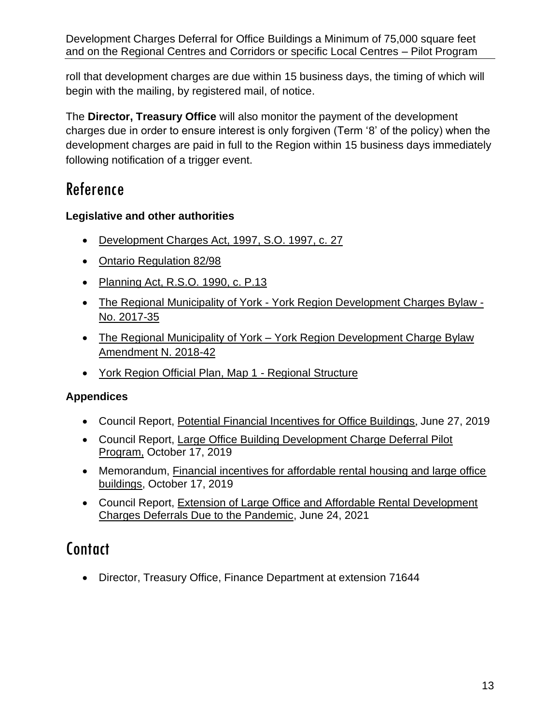roll that development charges are due within 15 business days, the timing of which will begin with the mailing, by registered mail, of notice.

The **Director, Treasury Office** will also monitor the payment of the development charges due in order to ensure interest is only forgiven (Term '8' of the policy) when the development charges are paid in full to the Region within 15 business days immediately following notification of a trigger event.

# Reference

# **Legislative and other authorities**

- [Development Charges Act, 1997,](https://www.ontario.ca/laws/statute/97d27) S.O. 1997, c. 27
- [Ontario Regulation 82/98](https://www.ontario.ca/laws/regulation/980082)
- [Planning Act, R.S.O. 1990, c. P.13](https://www.ontario.ca/laws/statute/90p13)
- The Regional Municipality of York [York Region Development Charges Bylaw -](http://www.york.ca/wps/portal/yorkhome/yorkregion/yr/bylaws/developmentchargesbylaw/!ut/p/a1/rVRNT4NAEP0tHnokO3xsWY4raoGm1FiNwKUBypctH4W1ir_eLfVk0mLN7m1m37y8N5M8FCAPBVV4KLKQFXUV7o51MF3bdGZb1hycpUZMoLCkjqITIHOdA3wOgDOPwjCvKNrUkk1wwFoSsB_0R3xHLBnmCnpFAQriijUsR37fruO6YknFJtDX7ZYXHSvY-9DI6zI5tdsk4-omEPW78KObwCY5JLu6KTkszsM2S7rh58jcxMUG-bGBYyONsKSSqSppKYkkI4qxhA1jE2E9xLom_zi5IHVkE4OTkV1c3IaJRwBcg89F6mdVrGS0utL1CKEumFBRRBNi0YSiLdv_PYpjgylTTjhT71Wgim2SW9UhrguiFaqCCanoK1PRlun1V3b-EIVKuzAXGacNWS4VVVoj7xRSyDsXUnyqeNvvA8pj8Jh9nwx5gnOwKV9KovbS9omAipvD13NalmvXlcLoVyPwSUdvvgFUm5Ae/dl5/d5/L2dBISEvZ0FBIS9nQSEh/#.WtDgaS7wZhG) [No. 2017-35](http://www.york.ca/wps/portal/yorkhome/yorkregion/yr/bylaws/developmentchargesbylaw/!ut/p/a1/rVRNT4NAEP0tHnokO3xsWY4raoGm1FiNwKUBypctH4W1ir_eLfVk0mLN7m1m37y8N5M8FCAPBVV4KLKQFXUV7o51MF3bdGZb1hycpUZMoLCkjqITIHOdA3wOgDOPwjCvKNrUkk1wwFoSsB_0R3xHLBnmCnpFAQriijUsR37fruO6YknFJtDX7ZYXHSvY-9DI6zI5tdsk4-omEPW78KObwCY5JLu6KTkszsM2S7rh58jcxMUG-bGBYyONsKSSqSppKYkkI4qxhA1jE2E9xLom_zi5IHVkE4OTkV1c3IaJRwBcg89F6mdVrGS0utL1CKEumFBRRBNi0YSiLdv_PYpjgylTTjhT71Wgim2SW9UhrguiFaqCCanoK1PRlun1V3b-EIVKuzAXGacNWS4VVVoj7xRSyDsXUnyqeNvvA8pj8Jh9nwx5gnOwKV9KovbS9omAipvD13NalmvXlcLoVyPwSUdvvgFUm5Ae/dl5/d5/L2dBISEvZ0FBIS9nQSEh/#.WtDgaS7wZhG)
- The Regional Municipality of York York Region Development Charge Bylaw [Amendment N. 2018-42](https://www.york.ca/wps/wcm/connect/yorkpublic/d81c8002-f0af-4337-afa6-71b52c5b7643/2018-42.pdf?MOD=AJPERES&CVID=mu8jzXy)
- [York Region Official Plan, Map 1 -](https://www.york.ca/wps/wcm/connect/yorkpublic/7ad30ec0-78a5-416c-b299-6f2f2c9208ee/yropOfficeConsolidationMap1Accessible.pdf?MOD=AJPERES) Regional Structure

# **Appendices**

- Council Report, [Potential Financial Incentives for Office Buildings](https://yorkpublishing.escribemeetings.com/filestream.ashx?DocumentId=6859), June 27, 2019
- Council Report, [Large Office Building Development Charge Deferral Pilot](https://yorkpublishing.escribemeetings.com/filestream.ashx?DocumentId=8240)  [Program,](https://yorkpublishing.escribemeetings.com/filestream.ashx?DocumentId=8240) October 17, 2019
- Memorandum, [Financial incentives for affordable rental housing and large office](https://yorkpublishing.escribemeetings.com/filestream.ashx?DocumentId=8625)  [buildings,](https://yorkpublishing.escribemeetings.com/filestream.ashx?DocumentId=8625) October 17, 2019
- Council Report, [Extension of Large Office and Affordable Rental Development](https://yorkpublishing.escribemeetings.com/Meeting.aspx?Id=1eb6004e-6e53-4b38-87de-4f3a79ffbe1b&Agenda=PostMinutes&lang=English&Item=57&Tab=attachments)  [Charges Deferrals Due to the Pandemic,](https://yorkpublishing.escribemeetings.com/Meeting.aspx?Id=1eb6004e-6e53-4b38-87de-4f3a79ffbe1b&Agenda=PostMinutes&lang=English&Item=57&Tab=attachments) June 24, 2021

# **Contact**

• Director, Treasury Office, Finance Department at extension 71644